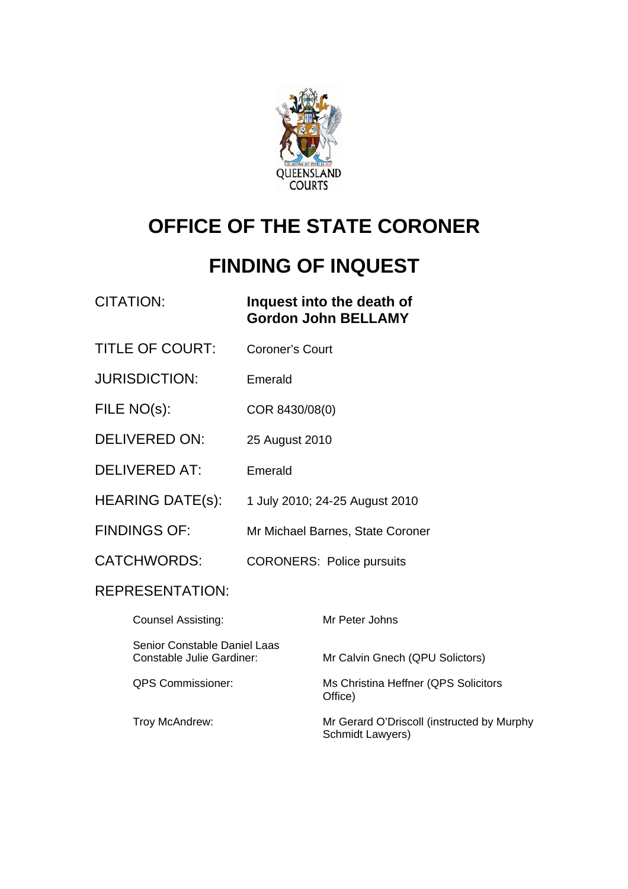

# **OFFICE OF THE STATE CORONER**

# **FINDING OF INQUEST**

| <b>CITATION:</b>                                                 |                        | Inquest into the death of<br><b>Gordon John BELLAMY</b>        |
|------------------------------------------------------------------|------------------------|----------------------------------------------------------------|
| <b>TITLE OF COURT:</b>                                           | <b>Coroner's Court</b> |                                                                |
| <b>JURISDICTION:</b>                                             | Emerald                |                                                                |
| FILE NO(s):                                                      | COR 8430/08(0)         |                                                                |
| <b>DELIVERED ON:</b>                                             | 25 August 2010         |                                                                |
| <b>DELIVERED AT:</b>                                             | Emerald                |                                                                |
| HEARING DATE(s):                                                 |                        | 1 July 2010; 24-25 August 2010                                 |
| <b>FINDINGS OF:</b>                                              |                        | Mr Michael Barnes, State Coroner                               |
| <b>CATCHWORDS:</b>                                               |                        | <b>CORONERS: Police pursuits</b>                               |
| <b>REPRESENTATION:</b>                                           |                        |                                                                |
| <b>Counsel Assisting:</b>                                        |                        | Mr Peter Johns                                                 |
| Senior Constable Daniel Laas<br><b>Constable Julie Gardiner:</b> |                        | Mr Calvin Gnech (QPU Solictors)                                |
| <b>QPS Commissioner:</b>                                         |                        | Ms Christina Heffner (QPS Solicitors<br>Office)                |
| Troy McAndrew:                                                   |                        | Mr Gerard O'Driscoll (instructed by Murphy<br>Schmidt Lawyers) |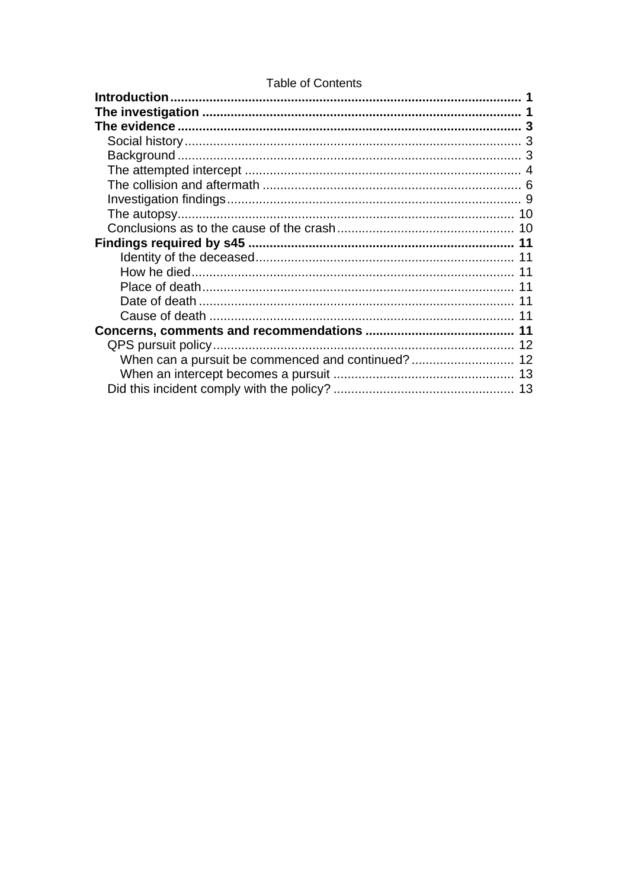### **Table of Contents**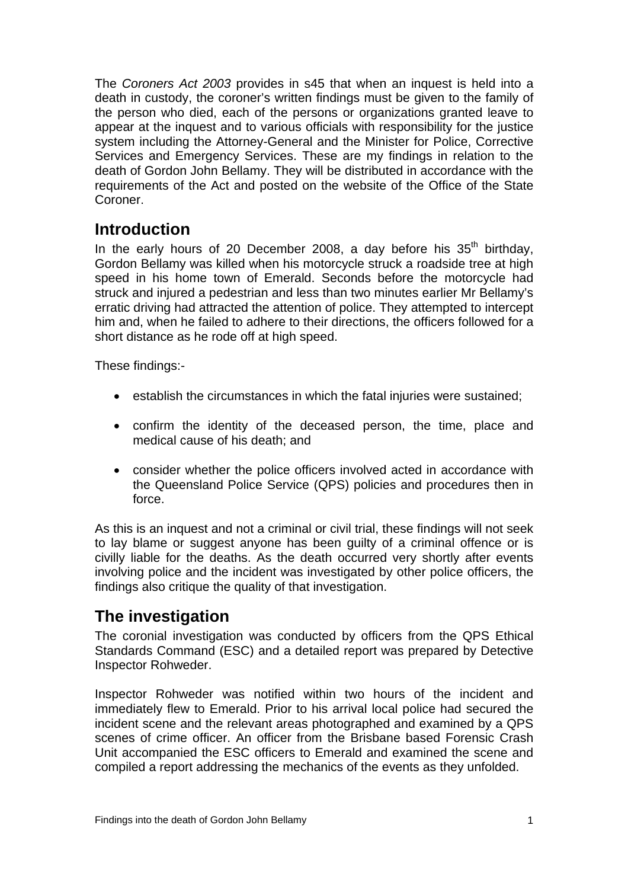<span id="page-2-0"></span>The *Coroners Act 2003* provides in s45 that when an inquest is held into a death in custody, the coroner's written findings must be given to the family of the person who died, each of the persons or organizations granted leave to appear at the inquest and to various officials with responsibility for the justice system including the Attorney-General and the Minister for Police, Corrective Services and Emergency Services. These are my findings in relation to the death of Gordon John Bellamy. They will be distributed in accordance with the requirements of the Act and posted on the website of the Office of the State Coroner.

# **Introduction**

In the early hours of 20 December 2008, a day before his  $35<sup>th</sup>$  birthday, Gordon Bellamy was killed when his motorcycle struck a roadside tree at high speed in his home town of Emerald. Seconds before the motorcycle had struck and injured a pedestrian and less than two minutes earlier Mr Bellamy's erratic driving had attracted the attention of police. They attempted to intercept him and, when he failed to adhere to their directions, the officers followed for a short distance as he rode off at high speed.

These findings:-

- establish the circumstances in which the fatal injuries were sustained;
- confirm the identity of the deceased person, the time, place and medical cause of his death; and
- consider whether the police officers involved acted in accordance with the Queensland Police Service (QPS) policies and procedures then in force.

As this is an inquest and not a criminal or civil trial, these findings will not seek to lay blame or suggest anyone has been guilty of a criminal offence or is civilly liable for the deaths. As the death occurred very shortly after events involving police and the incident was investigated by other police officers, the findings also critique the quality of that investigation.

# **The investigation**

The coronial investigation was conducted by officers from the QPS Ethical Standards Command (ESC) and a detailed report was prepared by Detective Inspector Rohweder.

Inspector Rohweder was notified within two hours of the incident and immediately flew to Emerald. Prior to his arrival local police had secured the incident scene and the relevant areas photographed and examined by a QPS scenes of crime officer. An officer from the Brisbane based Forensic Crash Unit accompanied the ESC officers to Emerald and examined the scene and compiled a report addressing the mechanics of the events as they unfolded.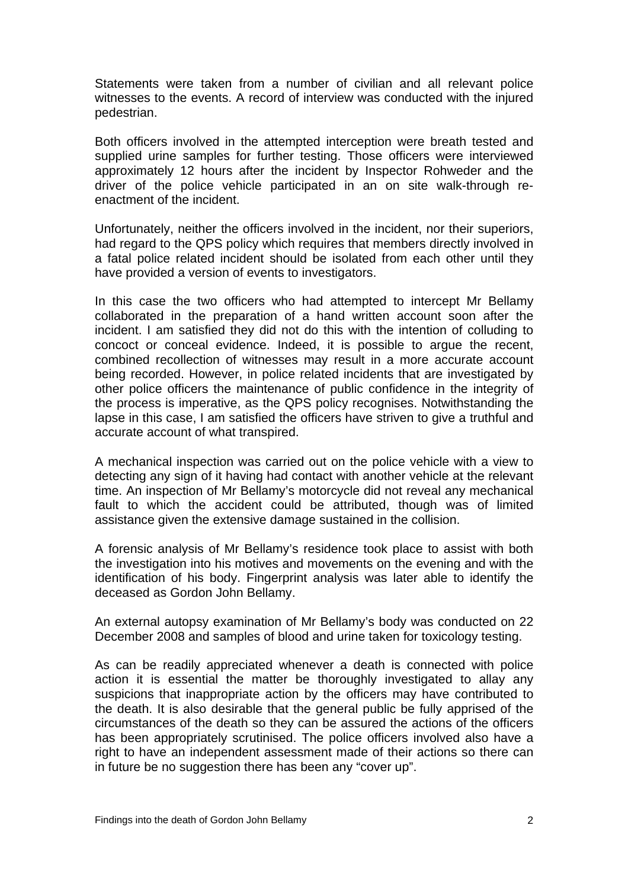Statements were taken from a number of civilian and all relevant police witnesses to the events. A record of interview was conducted with the injured pedestrian.

Both officers involved in the attempted interception were breath tested and supplied urine samples for further testing. Those officers were interviewed approximately 12 hours after the incident by Inspector Rohweder and the driver of the police vehicle participated in an on site walk-through reenactment of the incident.

Unfortunately, neither the officers involved in the incident, nor their superiors, had regard to the QPS policy which requires that members directly involved in a fatal police related incident should be isolated from each other until they have provided a version of events to investigators.

In this case the two officers who had attempted to intercept Mr Bellamy collaborated in the preparation of a hand written account soon after the incident. I am satisfied they did not do this with the intention of colluding to concoct or conceal evidence. Indeed, it is possible to argue the recent, combined recollection of witnesses may result in a more accurate account being recorded. However, in police related incidents that are investigated by other police officers the maintenance of public confidence in the integrity of the process is imperative, as the QPS policy recognises. Notwithstanding the lapse in this case, I am satisfied the officers have striven to give a truthful and accurate account of what transpired.

A mechanical inspection was carried out on the police vehicle with a view to detecting any sign of it having had contact with another vehicle at the relevant time. An inspection of Mr Bellamy's motorcycle did not reveal any mechanical fault to which the accident could be attributed, though was of limited assistance given the extensive damage sustained in the collision.

A forensic analysis of Mr Bellamy's residence took place to assist with both the investigation into his motives and movements on the evening and with the identification of his body. Fingerprint analysis was later able to identify the deceased as Gordon John Bellamy.

An external autopsy examination of Mr Bellamy's body was conducted on 22 December 2008 and samples of blood and urine taken for toxicology testing.

As can be readily appreciated whenever a death is connected with police action it is essential the matter be thoroughly investigated to allay any suspicions that inappropriate action by the officers may have contributed to the death. It is also desirable that the general public be fully apprised of the circumstances of the death so they can be assured the actions of the officers has been appropriately scrutinised. The police officers involved also have a right to have an independent assessment made of their actions so there can in future be no suggestion there has been any "cover up".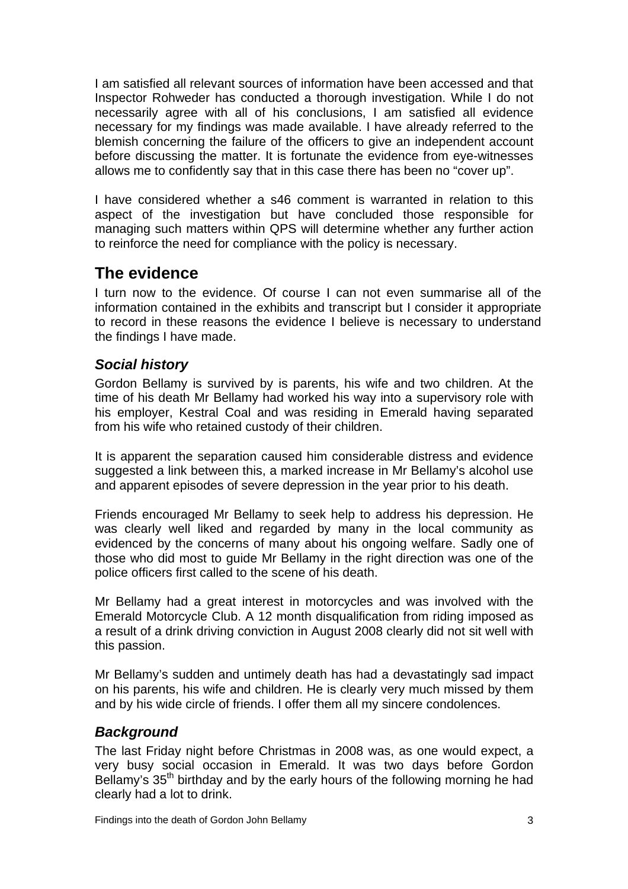<span id="page-4-0"></span>I am satisfied all relevant sources of information have been accessed and that Inspector Rohweder has conducted a thorough investigation. While I do not necessarily agree with all of his conclusions, I am satisfied all evidence necessary for my findings was made available. I have already referred to the blemish concerning the failure of the officers to give an independent account before discussing the matter. It is fortunate the evidence from eye-witnesses allows me to confidently say that in this case there has been no "cover up".

I have considered whether a s46 comment is warranted in relation to this aspect of the investigation but have concluded those responsible for managing such matters within QPS will determine whether any further action to reinforce the need for compliance with the policy is necessary.

# **The evidence**

I turn now to the evidence. Of course I can not even summarise all of the information contained in the exhibits and transcript but I consider it appropriate to record in these reasons the evidence I believe is necessary to understand the findings I have made.

## *Social history*

Gordon Bellamy is survived by is parents, his wife and two children. At the time of his death Mr Bellamy had worked his way into a supervisory role with his employer, Kestral Coal and was residing in Emerald having separated from his wife who retained custody of their children.

It is apparent the separation caused him considerable distress and evidence suggested a link between this, a marked increase in Mr Bellamy's alcohol use and apparent episodes of severe depression in the year prior to his death.

Friends encouraged Mr Bellamy to seek help to address his depression. He was clearly well liked and regarded by many in the local community as evidenced by the concerns of many about his ongoing welfare. Sadly one of those who did most to guide Mr Bellamy in the right direction was one of the police officers first called to the scene of his death.

Mr Bellamy had a great interest in motorcycles and was involved with the Emerald Motorcycle Club. A 12 month disqualification from riding imposed as a result of a drink driving conviction in August 2008 clearly did not sit well with this passion.

Mr Bellamy's sudden and untimely death has had a devastatingly sad impact on his parents, his wife and children. He is clearly very much missed by them and by his wide circle of friends. I offer them all my sincere condolences.

# *Background*

The last Friday night before Christmas in 2008 was, as one would expect, a very busy social occasion in Emerald. It was two days before Gordon Bellamy's 35<sup>th</sup> birthday and by the early hours of the following morning he had clearly had a lot to drink.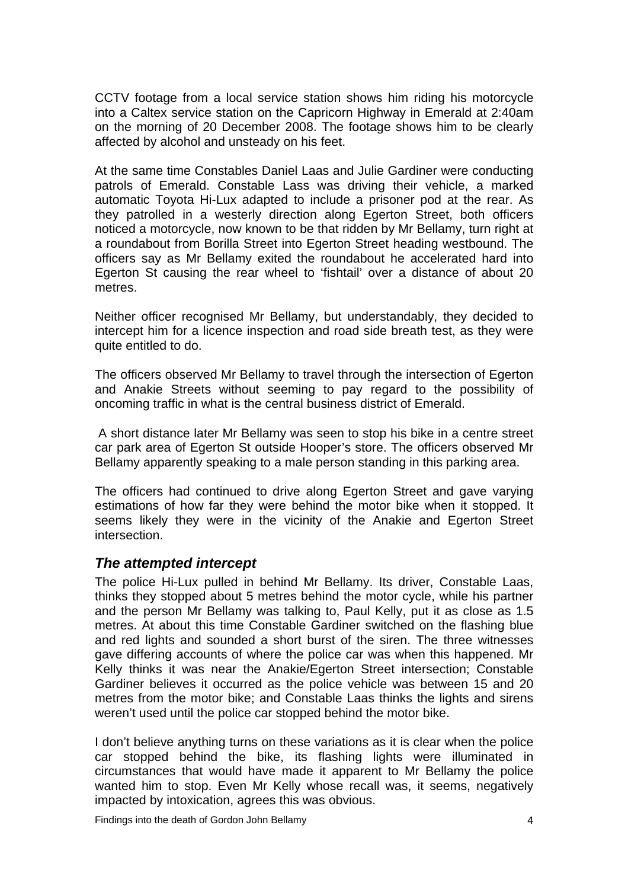<span id="page-5-0"></span>CCTV footage from a local service station shows him riding his motorcycle into a Caltex service station on the Capricorn Highway in Emerald at 2:40am on the morning of 20 December 2008. The footage shows him to be clearly affected by alcohol and unsteady on his feet.

At the same time Constables Daniel Laas and Julie Gardiner were conducting patrols of Emerald. Constable Lass was driving their vehicle, a marked automatic Toyota Hi-Lux adapted to include a prisoner pod at the rear. As they patrolled in a westerly direction along Egerton Street, both officers noticed a motorcycle, now known to be that ridden by Mr Bellamy, turn right at a roundabout from Borilla Street into Egerton Street heading westbound. The officers say as Mr Bellamy exited the roundabout he accelerated hard into Egerton St causing the rear wheel to 'fishtail' over a distance of about 20 metres.

Neither officer recognised Mr Bellamy, but understandably, they decided to intercept him for a licence inspection and road side breath test, as they were quite entitled to do.

The officers observed Mr Bellamy to travel through the intersection of Egerton and Anakie Streets without seeming to pay regard to the possibility of oncoming traffic in what is the central business district of Emerald.

 A short distance later Mr Bellamy was seen to stop his bike in a centre street car park area of Egerton St outside Hooper's store. The officers observed Mr Bellamy apparently speaking to a male person standing in this parking area.

The officers had continued to drive along Egerton Street and gave varying estimations of how far they were behind the motor bike when it stopped. It seems likely they were in the vicinity of the Anakie and Egerton Street intersection.

### *The attempted intercept*

The police Hi-Lux pulled in behind Mr Bellamy. Its driver, Constable Laas, thinks they stopped about 5 metres behind the motor cycle, while his partner and the person Mr Bellamy was talking to, Paul Kelly, put it as close as 1.5 metres. At about this time Constable Gardiner switched on the flashing blue and red lights and sounded a short burst of the siren. The three witnesses gave differing accounts of where the police car was when this happened. Mr Kelly thinks it was near the Anakie/Egerton Street intersection; Constable Gardiner believes it occurred as the police vehicle was between 15 and 20 metres from the motor bike; and Constable Laas thinks the lights and sirens weren't used until the police car stopped behind the motor bike.

I don't believe anything turns on these variations as it is clear when the police car stopped behind the bike, its flashing lights were illuminated in circumstances that would have made it apparent to Mr Bellamy the police wanted him to stop. Even Mr Kelly whose recall was, it seems, negatively impacted by intoxication, agrees this was obvious.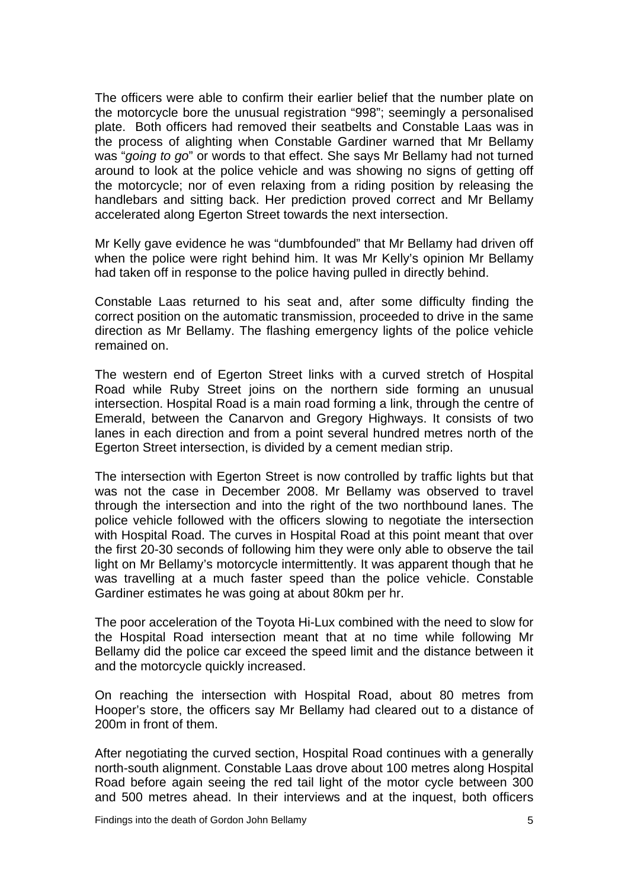The officers were able to confirm their earlier belief that the number plate on the motorcycle bore the unusual registration "998"; seemingly a personalised plate. Both officers had removed their seatbelts and Constable Laas was in the process of alighting when Constable Gardiner warned that Mr Bellamy was "*going to go*" or words to that effect. She says Mr Bellamy had not turned around to look at the police vehicle and was showing no signs of getting off the motorcycle; nor of even relaxing from a riding position by releasing the handlebars and sitting back. Her prediction proved correct and Mr Bellamy accelerated along Egerton Street towards the next intersection.

Mr Kelly gave evidence he was "dumbfounded" that Mr Bellamy had driven off when the police were right behind him. It was Mr Kelly's opinion Mr Bellamy had taken off in response to the police having pulled in directly behind.

Constable Laas returned to his seat and, after some difficulty finding the correct position on the automatic transmission, proceeded to drive in the same direction as Mr Bellamy. The flashing emergency lights of the police vehicle remained on.

The western end of Egerton Street links with a curved stretch of Hospital Road while Ruby Street joins on the northern side forming an unusual intersection. Hospital Road is a main road forming a link, through the centre of Emerald, between the Canarvon and Gregory Highways. It consists of two lanes in each direction and from a point several hundred metres north of the Egerton Street intersection, is divided by a cement median strip.

The intersection with Egerton Street is now controlled by traffic lights but that was not the case in December 2008. Mr Bellamy was observed to travel through the intersection and into the right of the two northbound lanes. The police vehicle followed with the officers slowing to negotiate the intersection with Hospital Road. The curves in Hospital Road at this point meant that over the first 20-30 seconds of following him they were only able to observe the tail light on Mr Bellamy's motorcycle intermittently. It was apparent though that he was travelling at a much faster speed than the police vehicle. Constable Gardiner estimates he was going at about 80km per hr.

The poor acceleration of the Toyota Hi-Lux combined with the need to slow for the Hospital Road intersection meant that at no time while following Mr Bellamy did the police car exceed the speed limit and the distance between it and the motorcycle quickly increased.

On reaching the intersection with Hospital Road, about 80 metres from Hooper's store, the officers say Mr Bellamy had cleared out to a distance of 200m in front of them.

After negotiating the curved section, Hospital Road continues with a generally north-south alignment. Constable Laas drove about 100 metres along Hospital Road before again seeing the red tail light of the motor cycle between 300 and 500 metres ahead. In their interviews and at the inquest, both officers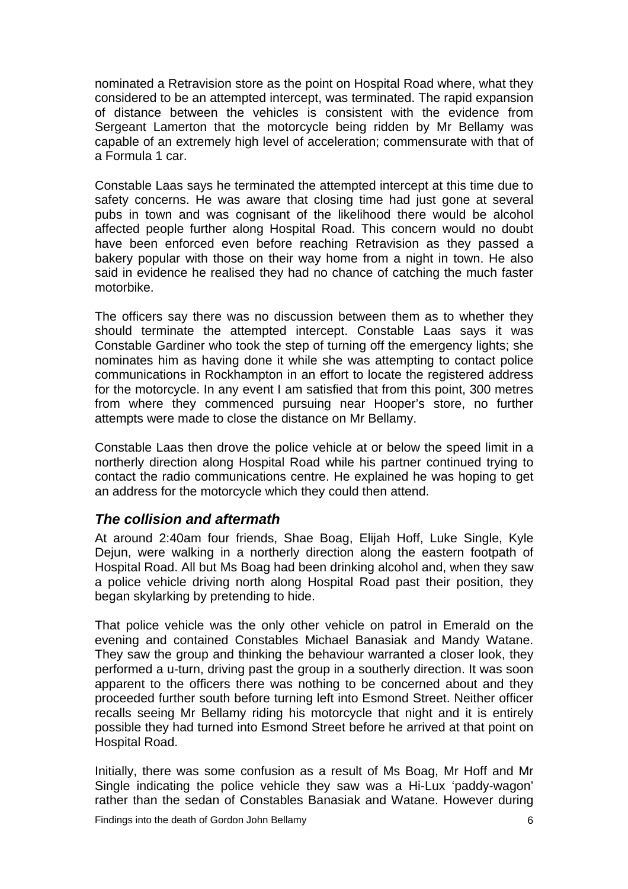<span id="page-7-0"></span>nominated a Retravision store as the point on Hospital Road where, what they considered to be an attempted intercept, was terminated. The rapid expansion of distance between the vehicles is consistent with the evidence from Sergeant Lamerton that the motorcycle being ridden by Mr Bellamy was capable of an extremely high level of acceleration; commensurate with that of a Formula 1 car.

Constable Laas says he terminated the attempted intercept at this time due to safety concerns. He was aware that closing time had just gone at several pubs in town and was cognisant of the likelihood there would be alcohol affected people further along Hospital Road. This concern would no doubt have been enforced even before reaching Retravision as they passed a bakery popular with those on their way home from a night in town. He also said in evidence he realised they had no chance of catching the much faster motorbike.

The officers say there was no discussion between them as to whether they should terminate the attempted intercept. Constable Laas says it was Constable Gardiner who took the step of turning off the emergency lights; she nominates him as having done it while she was attempting to contact police communications in Rockhampton in an effort to locate the registered address for the motorcycle. In any event I am satisfied that from this point, 300 metres from where they commenced pursuing near Hooper's store, no further attempts were made to close the distance on Mr Bellamy.

Constable Laas then drove the police vehicle at or below the speed limit in a northerly direction along Hospital Road while his partner continued trying to contact the radio communications centre. He explained he was hoping to get an address for the motorcycle which they could then attend.

### *The collision and aftermath*

At around 2:40am four friends, Shae Boag, Elijah Hoff, Luke Single, Kyle Dejun, were walking in a northerly direction along the eastern footpath of Hospital Road. All but Ms Boag had been drinking alcohol and, when they saw a police vehicle driving north along Hospital Road past their position, they began skylarking by pretending to hide.

That police vehicle was the only other vehicle on patrol in Emerald on the evening and contained Constables Michael Banasiak and Mandy Watane. They saw the group and thinking the behaviour warranted a closer look, they performed a u-turn, driving past the group in a southerly direction. It was soon apparent to the officers there was nothing to be concerned about and they proceeded further south before turning left into Esmond Street. Neither officer recalls seeing Mr Bellamy riding his motorcycle that night and it is entirely possible they had turned into Esmond Street before he arrived at that point on Hospital Road.

Initially, there was some confusion as a result of Ms Boag, Mr Hoff and Mr Single indicating the police vehicle they saw was a Hi-Lux 'paddy-wagon' rather than the sedan of Constables Banasiak and Watane. However during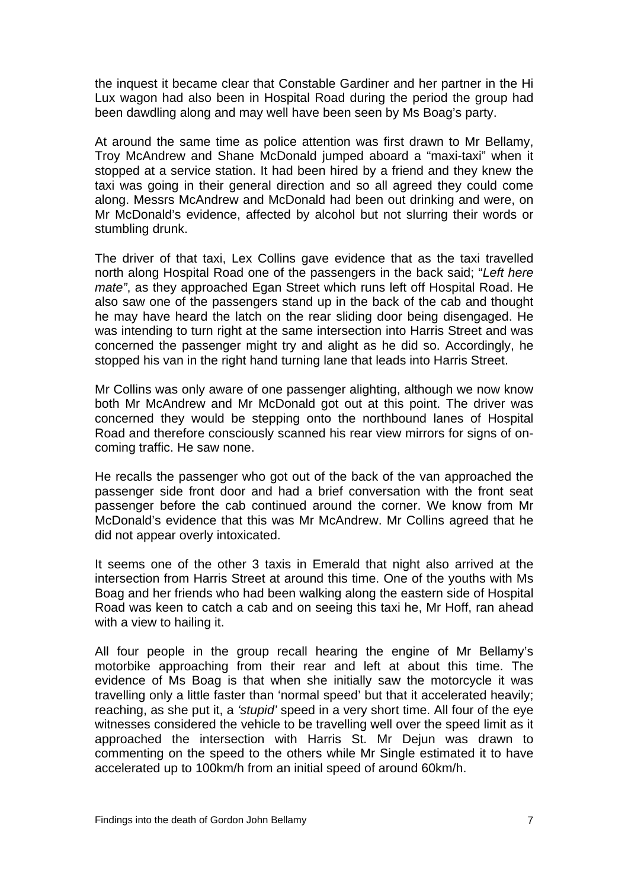the inquest it became clear that Constable Gardiner and her partner in the Hi Lux wagon had also been in Hospital Road during the period the group had been dawdling along and may well have been seen by Ms Boag's party.

At around the same time as police attention was first drawn to Mr Bellamy, Troy McAndrew and Shane McDonald jumped aboard a "maxi-taxi" when it stopped at a service station. It had been hired by a friend and they knew the taxi was going in their general direction and so all agreed they could come along. Messrs McAndrew and McDonald had been out drinking and were, on Mr McDonald's evidence, affected by alcohol but not slurring their words or stumbling drunk.

The driver of that taxi, Lex Collins gave evidence that as the taxi travelled north along Hospital Road one of the passengers in the back said; "*Left here mate"*, as they approached Egan Street which runs left off Hospital Road. He also saw one of the passengers stand up in the back of the cab and thought he may have heard the latch on the rear sliding door being disengaged. He was intending to turn right at the same intersection into Harris Street and was concerned the passenger might try and alight as he did so. Accordingly, he stopped his van in the right hand turning lane that leads into Harris Street.

Mr Collins was only aware of one passenger alighting, although we now know both Mr McAndrew and Mr McDonald got out at this point. The driver was concerned they would be stepping onto the northbound lanes of Hospital Road and therefore consciously scanned his rear view mirrors for signs of oncoming traffic. He saw none.

He recalls the passenger who got out of the back of the van approached the passenger side front door and had a brief conversation with the front seat passenger before the cab continued around the corner. We know from Mr McDonald's evidence that this was Mr McAndrew. Mr Collins agreed that he did not appear overly intoxicated.

It seems one of the other 3 taxis in Emerald that night also arrived at the intersection from Harris Street at around this time. One of the youths with Ms Boag and her friends who had been walking along the eastern side of Hospital Road was keen to catch a cab and on seeing this taxi he, Mr Hoff, ran ahead with a view to hailing it.

All four people in the group recall hearing the engine of Mr Bellamy's motorbike approaching from their rear and left at about this time. The evidence of Ms Boag is that when she initially saw the motorcycle it was travelling only a little faster than 'normal speed' but that it accelerated heavily; reaching, as she put it, a *'stupid'* speed in a very short time. All four of the eye witnesses considered the vehicle to be travelling well over the speed limit as it approached the intersection with Harris St. Mr Dejun was drawn to commenting on the speed to the others while Mr Single estimated it to have accelerated up to 100km/h from an initial speed of around 60km/h.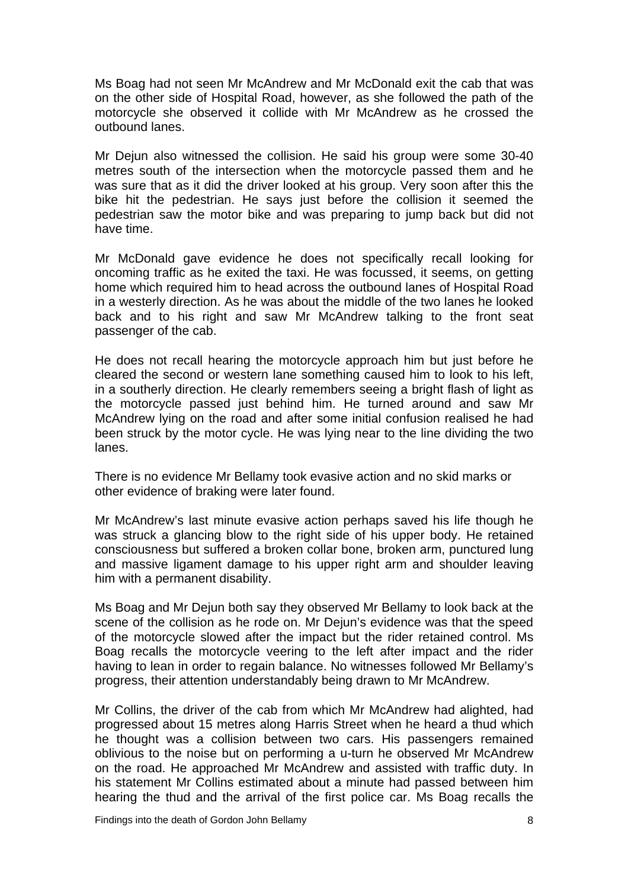Ms Boag had not seen Mr McAndrew and Mr McDonald exit the cab that was on the other side of Hospital Road, however, as she followed the path of the motorcycle she observed it collide with Mr McAndrew as he crossed the outbound lanes.

Mr Dejun also witnessed the collision. He said his group were some 30-40 metres south of the intersection when the motorcycle passed them and he was sure that as it did the driver looked at his group. Very soon after this the bike hit the pedestrian. He says just before the collision it seemed the pedestrian saw the motor bike and was preparing to jump back but did not have time.

Mr McDonald gave evidence he does not specifically recall looking for oncoming traffic as he exited the taxi. He was focussed, it seems, on getting home which required him to head across the outbound lanes of Hospital Road in a westerly direction. As he was about the middle of the two lanes he looked back and to his right and saw Mr McAndrew talking to the front seat passenger of the cab.

He does not recall hearing the motorcycle approach him but just before he cleared the second or western lane something caused him to look to his left, in a southerly direction. He clearly remembers seeing a bright flash of light as the motorcycle passed just behind him. He turned around and saw Mr McAndrew lying on the road and after some initial confusion realised he had been struck by the motor cycle. He was lying near to the line dividing the two lanes.

There is no evidence Mr Bellamy took evasive action and no skid marks or other evidence of braking were later found.

Mr McAndrew's last minute evasive action perhaps saved his life though he was struck a glancing blow to the right side of his upper body. He retained consciousness but suffered a broken collar bone, broken arm, punctured lung and massive ligament damage to his upper right arm and shoulder leaving him with a permanent disability.

Ms Boag and Mr Dejun both say they observed Mr Bellamy to look back at the scene of the collision as he rode on. Mr Dejun's evidence was that the speed of the motorcycle slowed after the impact but the rider retained control. Ms Boag recalls the motorcycle veering to the left after impact and the rider having to lean in order to regain balance. No witnesses followed Mr Bellamy's progress, their attention understandably being drawn to Mr McAndrew.

Mr Collins, the driver of the cab from which Mr McAndrew had alighted, had progressed about 15 metres along Harris Street when he heard a thud which he thought was a collision between two cars. His passengers remained oblivious to the noise but on performing a u-turn he observed Mr McAndrew on the road. He approached Mr McAndrew and assisted with traffic duty. In his statement Mr Collins estimated about a minute had passed between him hearing the thud and the arrival of the first police car. Ms Boag recalls the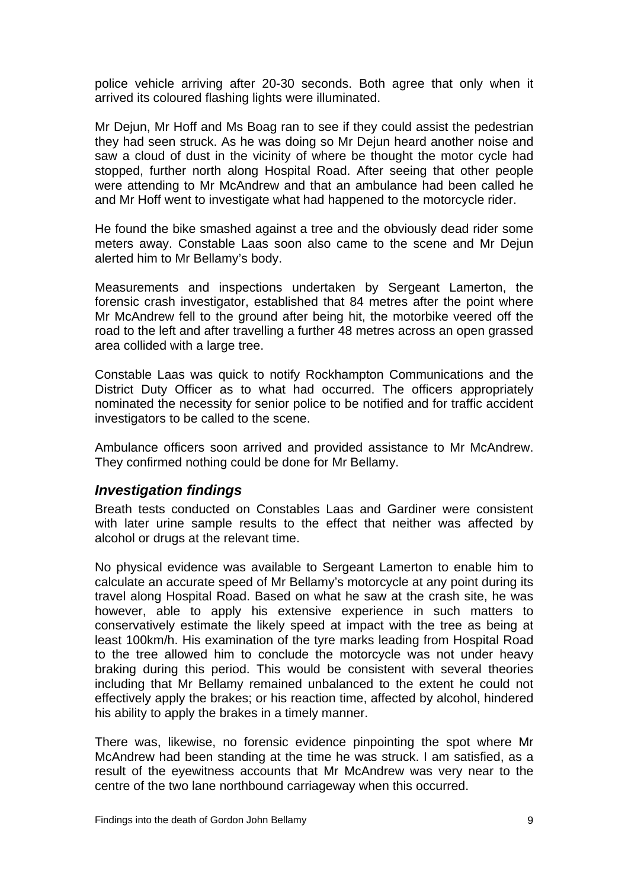<span id="page-10-0"></span>police vehicle arriving after 20-30 seconds. Both agree that only when it arrived its coloured flashing lights were illuminated.

Mr Dejun, Mr Hoff and Ms Boag ran to see if they could assist the pedestrian they had seen struck. As he was doing so Mr Dejun heard another noise and saw a cloud of dust in the vicinity of where be thought the motor cycle had stopped, further north along Hospital Road. After seeing that other people were attending to Mr McAndrew and that an ambulance had been called he and Mr Hoff went to investigate what had happened to the motorcycle rider.

He found the bike smashed against a tree and the obviously dead rider some meters away. Constable Laas soon also came to the scene and Mr Dejun alerted him to Mr Bellamy's body.

Measurements and inspections undertaken by Sergeant Lamerton, the forensic crash investigator, established that 84 metres after the point where Mr McAndrew fell to the ground after being hit, the motorbike veered off the road to the left and after travelling a further 48 metres across an open grassed area collided with a large tree.

Constable Laas was quick to notify Rockhampton Communications and the District Duty Officer as to what had occurred. The officers appropriately nominated the necessity for senior police to be notified and for traffic accident investigators to be called to the scene.

Ambulance officers soon arrived and provided assistance to Mr McAndrew. They confirmed nothing could be done for Mr Bellamy.

#### *Investigation findings*

Breath tests conducted on Constables Laas and Gardiner were consistent with later urine sample results to the effect that neither was affected by alcohol or drugs at the relevant time.

No physical evidence was available to Sergeant Lamerton to enable him to calculate an accurate speed of Mr Bellamy's motorcycle at any point during its travel along Hospital Road. Based on what he saw at the crash site, he was however, able to apply his extensive experience in such matters to conservatively estimate the likely speed at impact with the tree as being at least 100km/h. His examination of the tyre marks leading from Hospital Road to the tree allowed him to conclude the motorcycle was not under heavy braking during this period. This would be consistent with several theories including that Mr Bellamy remained unbalanced to the extent he could not effectively apply the brakes; or his reaction time, affected by alcohol, hindered his ability to apply the brakes in a timely manner.

There was, likewise, no forensic evidence pinpointing the spot where Mr McAndrew had been standing at the time he was struck. I am satisfied, as a result of the eyewitness accounts that Mr McAndrew was very near to the centre of the two lane northbound carriageway when this occurred.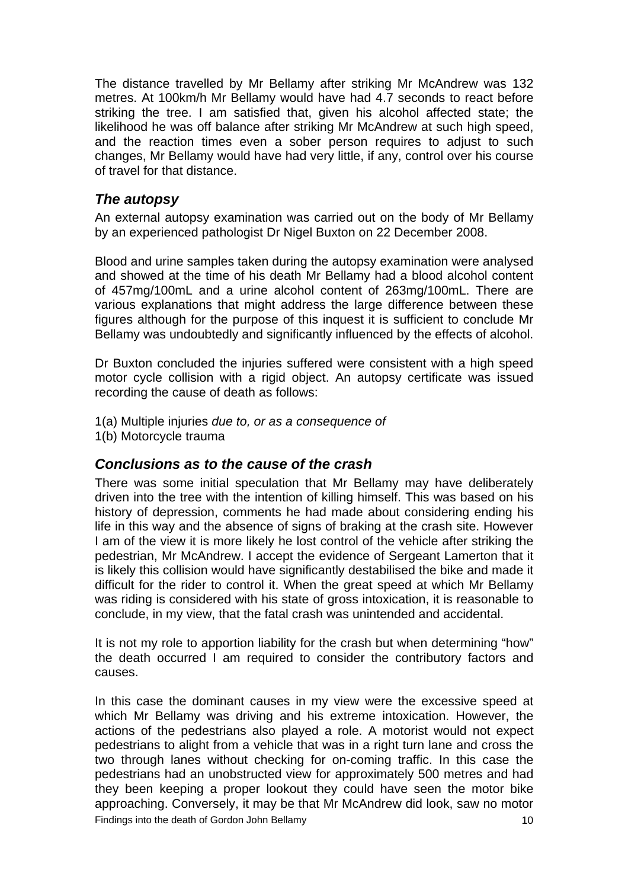<span id="page-11-0"></span>The distance travelled by Mr Bellamy after striking Mr McAndrew was 132 metres. At 100km/h Mr Bellamy would have had 4.7 seconds to react before striking the tree. I am satisfied that, given his alcohol affected state; the likelihood he was off balance after striking Mr McAndrew at such high speed, and the reaction times even a sober person requires to adjust to such changes, Mr Bellamy would have had very little, if any, control over his course of travel for that distance.

### *The autopsy*

An external autopsy examination was carried out on the body of Mr Bellamy by an experienced pathologist Dr Nigel Buxton on 22 December 2008.

Blood and urine samples taken during the autopsy examination were analysed and showed at the time of his death Mr Bellamy had a blood alcohol content of 457mg/100mL and a urine alcohol content of 263mg/100mL. There are various explanations that might address the large difference between these figures although for the purpose of this inquest it is sufficient to conclude Mr Bellamy was undoubtedly and significantly influenced by the effects of alcohol.

Dr Buxton concluded the injuries suffered were consistent with a high speed motor cycle collision with a rigid object. An autopsy certificate was issued recording the cause of death as follows:

- 1(a) Multiple injuries *due to, or as a consequence of*
- 1(b) Motorcycle trauma

### *Conclusions as to the cause of the crash*

There was some initial speculation that Mr Bellamy may have deliberately driven into the tree with the intention of killing himself. This was based on his history of depression, comments he had made about considering ending his life in this way and the absence of signs of braking at the crash site. However I am of the view it is more likely he lost control of the vehicle after striking the pedestrian, Mr McAndrew. I accept the evidence of Sergeant Lamerton that it is likely this collision would have significantly destabilised the bike and made it difficult for the rider to control it. When the great speed at which Mr Bellamy was riding is considered with his state of gross intoxication, it is reasonable to conclude, in my view, that the fatal crash was unintended and accidental.

It is not my role to apportion liability for the crash but when determining "how" the death occurred I am required to consider the contributory factors and causes.

In this case the dominant causes in my view were the excessive speed at which Mr Bellamy was driving and his extreme intoxication. However, the actions of the pedestrians also played a role. A motorist would not expect pedestrians to alight from a vehicle that was in a right turn lane and cross the two through lanes without checking for on-coming traffic. In this case the pedestrians had an unobstructed view for approximately 500 metres and had they been keeping a proper lookout they could have seen the motor bike approaching. Conversely, it may be that Mr McAndrew did look, saw no motor Findings into the death of Gordon John Bellamy 10 and 10 and 10 and 10 and 10 and 10 and 10 and 10 and 10 and 10 and 10 and 10 and 10 and 10 and 10 and 10 and 10 and 10 and 10 and 10 and 10 and 10 and 10 and 10 and 10 and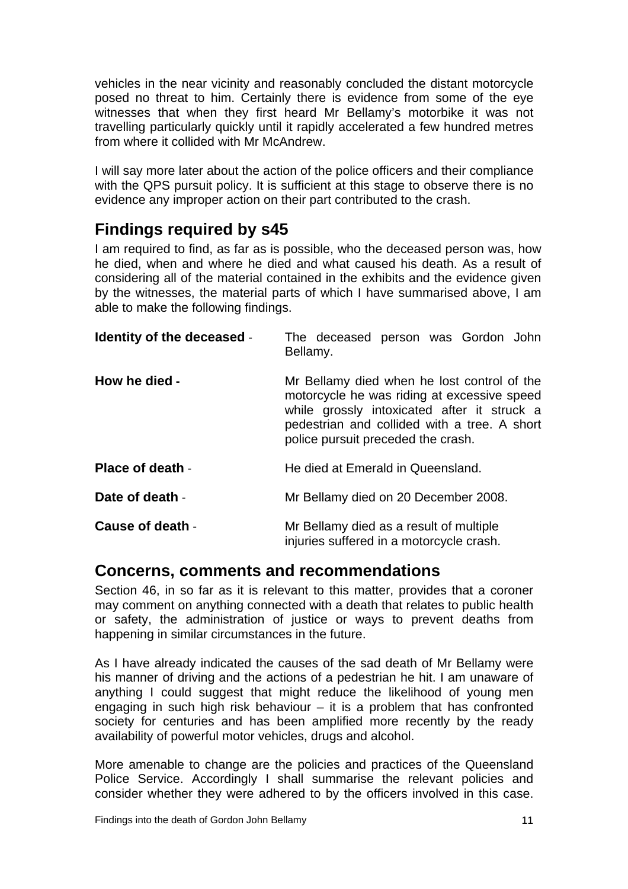<span id="page-12-0"></span>vehicles in the near vicinity and reasonably concluded the distant motorcycle posed no threat to him. Certainly there is evidence from some of the eye witnesses that when they first heard Mr Bellamy's motorbike it was not travelling particularly quickly until it rapidly accelerated a few hundred metres from where it collided with Mr McAndrew.

I will say more later about the action of the police officers and their compliance with the QPS pursuit policy. It is sufficient at this stage to observe there is no evidence any improper action on their part contributed to the crash.

# **Findings required by s45**

I am required to find, as far as is possible, who the deceased person was, how he died, when and where he died and what caused his death. As a result of considering all of the material contained in the exhibits and the evidence given by the witnesses, the material parts of which I have summarised above, I am able to make the following findings.

| Identity of the deceased - | The deceased person was Gordon John<br>Bellamy.                                                                                                                                                                                 |
|----------------------------|---------------------------------------------------------------------------------------------------------------------------------------------------------------------------------------------------------------------------------|
| How he died -              | Mr Bellamy died when he lost control of the<br>motorcycle he was riding at excessive speed<br>while grossly intoxicated after it struck a<br>pedestrian and collided with a tree. A short<br>police pursuit preceded the crash. |
| <b>Place of death -</b>    | He died at Emerald in Queensland.                                                                                                                                                                                               |
| Date of death -            | Mr Bellamy died on 20 December 2008.                                                                                                                                                                                            |
| Cause of death -           | Mr Bellamy died as a result of multiple<br>injuries suffered in a motorcycle crash.                                                                                                                                             |

# **Concerns, comments and recommendations**

Section 46, in so far as it is relevant to this matter, provides that a coroner may comment on anything connected with a death that relates to public health or safety, the administration of justice or ways to prevent deaths from happening in similar circumstances in the future.

As I have already indicated the causes of the sad death of Mr Bellamy were his manner of driving and the actions of a pedestrian he hit. I am unaware of anything I could suggest that might reduce the likelihood of young men engaging in such high risk behaviour  $-$  it is a problem that has confronted society for centuries and has been amplified more recently by the ready availability of powerful motor vehicles, drugs and alcohol.

More amenable to change are the policies and practices of the Queensland Police Service. Accordingly I shall summarise the relevant policies and consider whether they were adhered to by the officers involved in this case.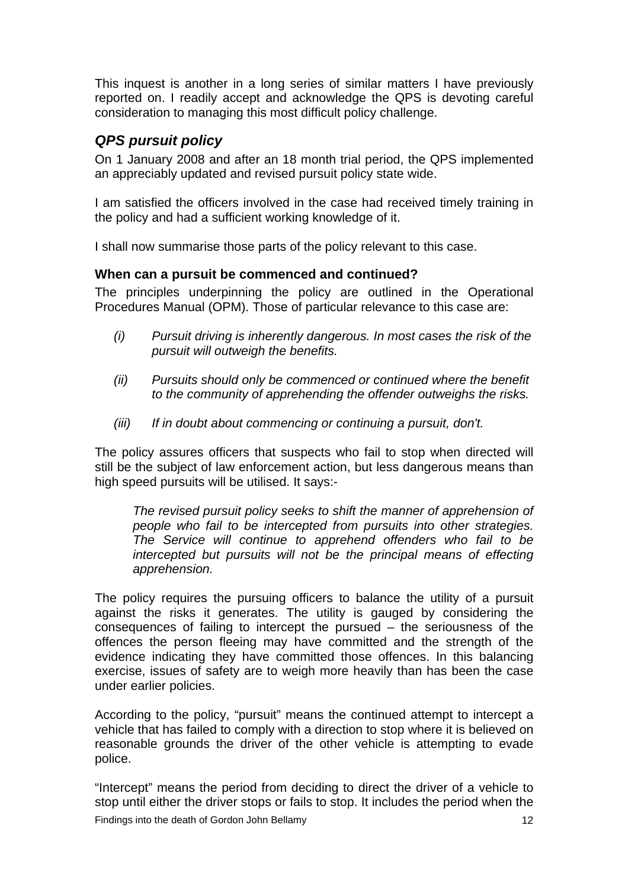<span id="page-13-0"></span>This inquest is another in a long series of similar matters I have previously reported on. I readily accept and acknowledge the QPS is devoting careful consideration to managing this most difficult policy challenge.

# *QPS pursuit policy*

On 1 January 2008 and after an 18 month trial period, the QPS implemented an appreciably updated and revised pursuit policy state wide.

I am satisfied the officers involved in the case had received timely training in the policy and had a sufficient working knowledge of it.

I shall now summarise those parts of the policy relevant to this case.

### **When can a pursuit be commenced and continued?**

The principles underpinning the policy are outlined in the Operational Procedures Manual (OPM). Those of particular relevance to this case are:

- *(i) Pursuit driving is inherently dangerous. In most cases the risk of the pursuit will outweigh the benefits.*
- *(ii) Pursuits should only be commenced or continued where the benefit to the community of apprehending the offender outweighs the risks.*
- *(iii) If in doubt about commencing or continuing a pursuit, don't.*

The policy assures officers that suspects who fail to stop when directed will still be the subject of law enforcement action, but less dangerous means than high speed pursuits will be utilised. It says:-

*The revised pursuit policy seeks to shift the manner of apprehension of people who fail to be intercepted from pursuits into other strategies. The Service will continue to apprehend offenders who fail to be intercepted but pursuits will not be the principal means of effecting apprehension.* 

The policy requires the pursuing officers to balance the utility of a pursuit against the risks it generates. The utility is gauged by considering the consequences of failing to intercept the pursued – the seriousness of the offences the person fleeing may have committed and the strength of the evidence indicating they have committed those offences. In this balancing exercise, issues of safety are to weigh more heavily than has been the case under earlier policies.

According to the policy, "pursuit" means the continued attempt to intercept a vehicle that has failed to comply with a direction to stop where it is believed on reasonable grounds the driver of the other vehicle is attempting to evade police.

"Intercept" means the period from deciding to direct the driver of a vehicle to stop until either the driver stops or fails to stop. It includes the period when the Findings into the death of Gordon John Bellamy 12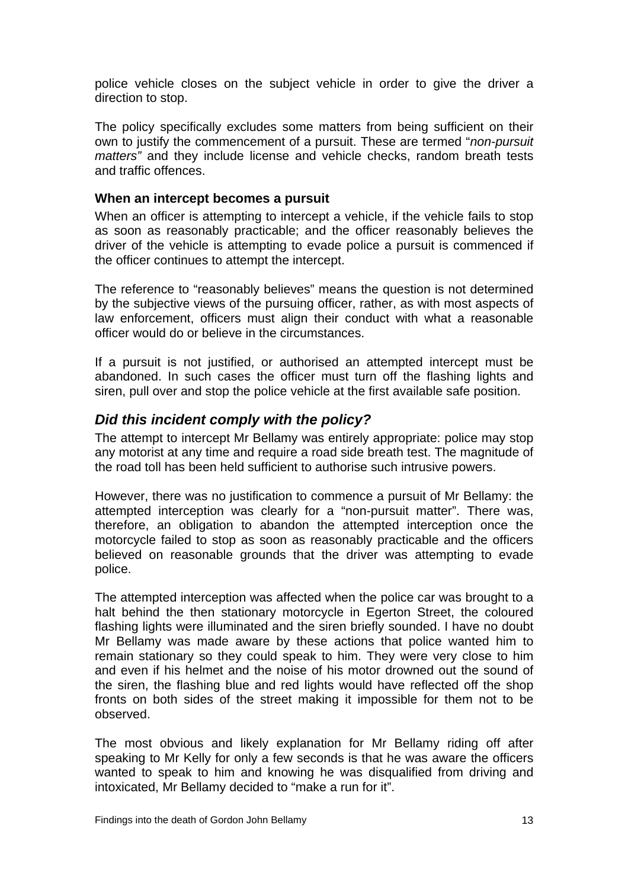<span id="page-14-0"></span>police vehicle closes on the subject vehicle in order to give the driver a direction to stop.

The policy specifically excludes some matters from being sufficient on their own to justify the commencement of a pursuit. These are termed "*non-pursuit matters"* and they include license and vehicle checks, random breath tests and traffic offences.

#### **When an intercept becomes a pursuit**

When an officer is attempting to intercept a vehicle, if the vehicle fails to stop as soon as reasonably practicable; and the officer reasonably believes the driver of the vehicle is attempting to evade police a pursuit is commenced if the officer continues to attempt the intercept.

The reference to "reasonably believes" means the question is not determined by the subjective views of the pursuing officer, rather, as with most aspects of law enforcement, officers must align their conduct with what a reasonable officer would do or believe in the circumstances.

If a pursuit is not justified, or authorised an attempted intercept must be abandoned. In such cases the officer must turn off the flashing lights and siren, pull over and stop the police vehicle at the first available safe position.

### *Did this incident comply with the policy?*

The attempt to intercept Mr Bellamy was entirely appropriate: police may stop any motorist at any time and require a road side breath test. The magnitude of the road toll has been held sufficient to authorise such intrusive powers.

However, there was no justification to commence a pursuit of Mr Bellamy: the attempted interception was clearly for a "non-pursuit matter". There was, therefore, an obligation to abandon the attempted interception once the motorcycle failed to stop as soon as reasonably practicable and the officers believed on reasonable grounds that the driver was attempting to evade police.

The attempted interception was affected when the police car was brought to a halt behind the then stationary motorcycle in Egerton Street, the coloured flashing lights were illuminated and the siren briefly sounded. I have no doubt Mr Bellamy was made aware by these actions that police wanted him to remain stationary so they could speak to him. They were very close to him and even if his helmet and the noise of his motor drowned out the sound of the siren, the flashing blue and red lights would have reflected off the shop fronts on both sides of the street making it impossible for them not to be observed.

The most obvious and likely explanation for Mr Bellamy riding off after speaking to Mr Kelly for only a few seconds is that he was aware the officers wanted to speak to him and knowing he was disqualified from driving and intoxicated, Mr Bellamy decided to "make a run for it".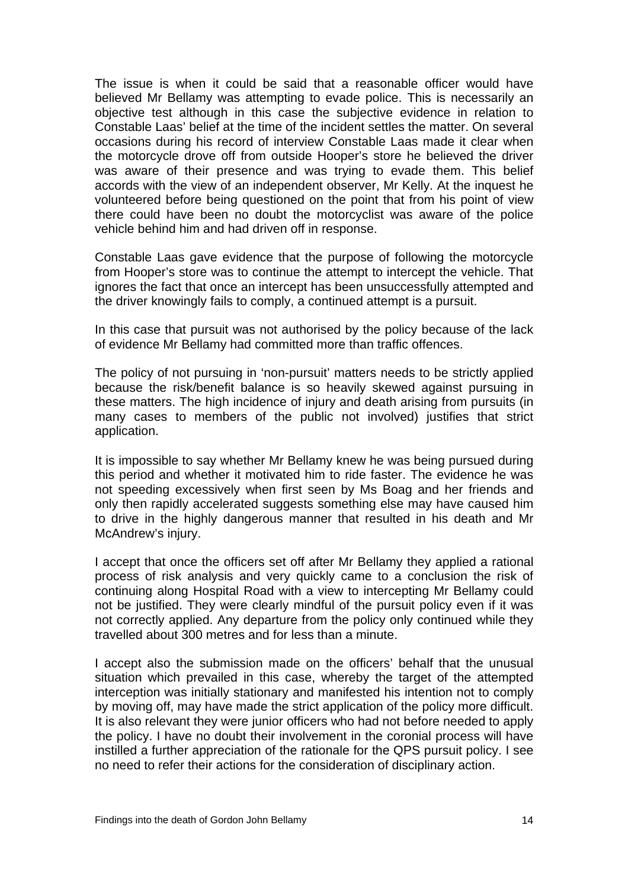The issue is when it could be said that a reasonable officer would have believed Mr Bellamy was attempting to evade police. This is necessarily an objective test although in this case the subjective evidence in relation to Constable Laas' belief at the time of the incident settles the matter. On several occasions during his record of interview Constable Laas made it clear when the motorcycle drove off from outside Hooper's store he believed the driver was aware of their presence and was trying to evade them. This belief accords with the view of an independent observer, Mr Kelly. At the inquest he volunteered before being questioned on the point that from his point of view there could have been no doubt the motorcyclist was aware of the police vehicle behind him and had driven off in response.

Constable Laas gave evidence that the purpose of following the motorcycle from Hooper's store was to continue the attempt to intercept the vehicle. That ignores the fact that once an intercept has been unsuccessfully attempted and the driver knowingly fails to comply, a continued attempt is a pursuit.

In this case that pursuit was not authorised by the policy because of the lack of evidence Mr Bellamy had committed more than traffic offences.

The policy of not pursuing in 'non-pursuit' matters needs to be strictly applied because the risk/benefit balance is so heavily skewed against pursuing in these matters. The high incidence of injury and death arising from pursuits (in many cases to members of the public not involved) justifies that strict application.

It is impossible to say whether Mr Bellamy knew he was being pursued during this period and whether it motivated him to ride faster. The evidence he was not speeding excessively when first seen by Ms Boag and her friends and only then rapidly accelerated suggests something else may have caused him to drive in the highly dangerous manner that resulted in his death and Mr McAndrew's injury.

I accept that once the officers set off after Mr Bellamy they applied a rational process of risk analysis and very quickly came to a conclusion the risk of continuing along Hospital Road with a view to intercepting Mr Bellamy could not be justified. They were clearly mindful of the pursuit policy even if it was not correctly applied. Any departure from the policy only continued while they travelled about 300 metres and for less than a minute.

I accept also the submission made on the officers' behalf that the unusual situation which prevailed in this case, whereby the target of the attempted interception was initially stationary and manifested his intention not to comply by moving off, may have made the strict application of the policy more difficult. It is also relevant they were junior officers who had not before needed to apply the policy. I have no doubt their involvement in the coronial process will have instilled a further appreciation of the rationale for the QPS pursuit policy. I see no need to refer their actions for the consideration of disciplinary action.